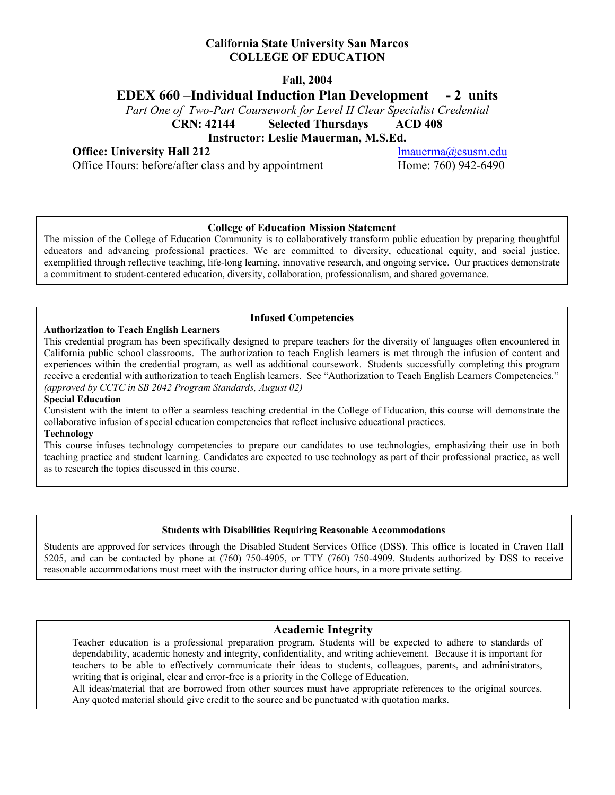## **California State University San Marcos COLLEGE OF EDUCATION**

**Fall, 2004** 

# **EDEX 660 –Individual Induction Plan Development - 2 units**

*Part One of Two-Part Coursework for Level II Clear Specialist Credential* 

**CRN: 42144 Selected Thursdays ACD 408** 

**Instructor: Leslie Mauerman, M.S.Ed.** 

**Office:** University Hall 212 lmauerma@csusm.edu

Office Hours: before/after class and by appointment Home: 760) 942-6490

### **College of Education Mission Statement**

The mission of the College of Education Community is to collaboratively transform public education by preparing thoughtful educators and advancing professional practices. We are committed to diversity, educational equity, and social justice, exemplified through reflective teaching, life-long learning, innovative research, and ongoing service. Our practices demonstrate a commitment to student-centered education, diversity, collaboration, professionalism, and shared governance.

### **Infused Competencies**

#### **Authorization to Teach English Learners**

This credential program has been specifically designed to prepare teachers for the diversity of languages often encountered in California public school classrooms. The authorization to teach English learners is met through the infusion of content and experiences within the credential program, as well as additional coursework. Students successfully completing this program receive a credential with authorization to teach English learners. See "Authorization to Teach English Learners Competencies." *(approved by CCTC in SB 2042 Program Standards, August 02)* 

#### **Special Education**

Consistent with the intent to offer a seamless teaching credential in the College of Education, this course will demonstrate the collaborative infusion of special education competencies that reflect inclusive educational practices.

#### **Technology**

This course infuses technology competencies to prepare our candidates to use technologies, emphasizing their use in both teaching practice and student learning. Candidates are expected to use technology as part of their professional practice, as well as to research the topics discussed in this course.

### **Students with Disabilities Requiring Reasonable Accommodations**

Students are approved for services through the Disabled Student Services Office (DSS). This office is located in Craven Hall 5205, and can be contacted by phone at (760) 750-4905, or TTY (760) 750-4909. Students authorized by DSS to receive reasonable accommodations must meet with the instructor during office hours, in a more private setting.

### **Academic Integrity**

Teacher education is a professional preparation program. Students will be expected to adhere to standards of dependability, academic honesty and integrity, confidentiality, and writing achievement. Because it is important for teachers to be able to effectively communicate their ideas to students, colleagues, parents, and administrators, writing that is original, clear and error-free is a priority in the College of Education.

All ideas/material that are borrowed from other sources must have appropriate references to the original sources. Any quoted material should give credit to the source and be punctuated with quotation marks.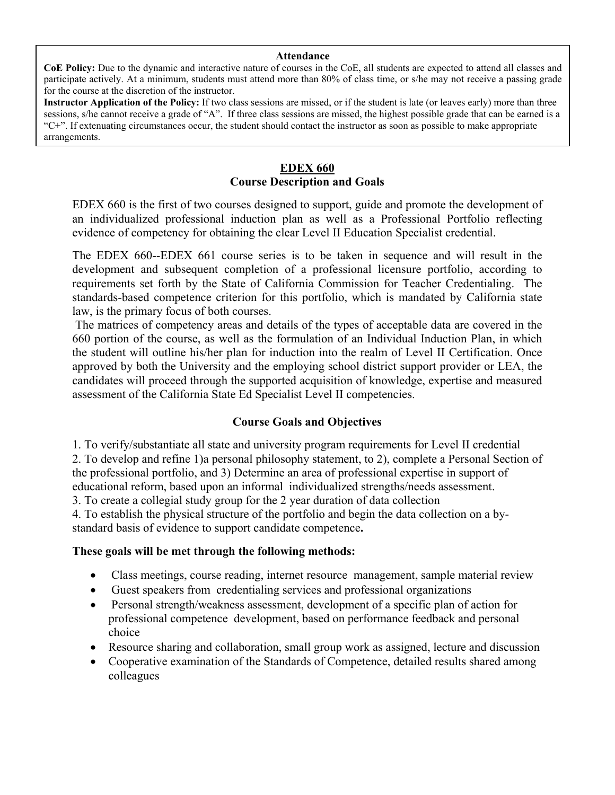#### **Attendance**

**CoE Policy:** Due to the dynamic and interactive nature of courses in the CoE, all students are expected to attend all classes and participate actively. At a minimum, students must attend more than 80% of class time, or s/he may not receive a passing grade for the course at the discretion of the instructor.

**Instructor Application of the Policy:** If two class sessions are missed, or if the student is late (or leaves early) more than three sessions, s/he cannot receive a grade of "A". If three class sessions are missed, the highest possible grade that can be earned is a "C+". If extenuating circumstances occur, the student should contact the instructor as soon as possible to make appropriate arrangements.

# **EDEX 660 Course Description and Goals**

EDEX 660 is the first of two courses designed to support, guide and promote the development of an individualized professional induction plan as well as a Professional Portfolio reflecting evidence of competency for obtaining the clear Level II Education Specialist credential.

The EDEX 660--EDEX 661 course series is to be taken in sequence and will result in the development and subsequent completion of a professional licensure portfolio, according to requirements set forth by the State of California Commission for Teacher Credentialing. The standards-based competence criterion for this portfolio, which is mandated by California state law, is the primary focus of both courses.

 The matrices of competency areas and details of the types of acceptable data are covered in the 660 portion of the course, as well as the formulation of an Individual Induction Plan, in which the student will outline his/her plan for induction into the realm of Level II Certification. Once approved by both the University and the employing school district support provider or LEA, the candidates will proceed through the supported acquisition of knowledge, expertise and measured assessment of the California State Ed Specialist Level II competencies.

# **Course Goals and Objectives**

1. To verify/substantiate all state and university program requirements for Level II credential

2. To develop and refine 1)a personal philosophy statement, to 2), complete a Personal Section of the professional portfolio, and 3) Determine an area of professional expertise in support of educational reform, based upon an informal individualized strengths/needs assessment.

3. To create a collegial study group for the 2 year duration of data collection

4. To establish the physical structure of the portfolio and begin the data collection on a bystandard basis of evidence to support candidate competence**.** 

# **These goals will be met through the following methods:**

- Class meetings, course reading, internet resource management, sample material review
- Guest speakers from credentialing services and professional organizations
- Personal strength/weakness assessment, development of a specific plan of action for professional competence development, based on performance feedback and personal choice
- Resource sharing and collaboration, small group work as assigned, lecture and discussion
- Cooperative examination of the Standards of Competence, detailed results shared among colleagues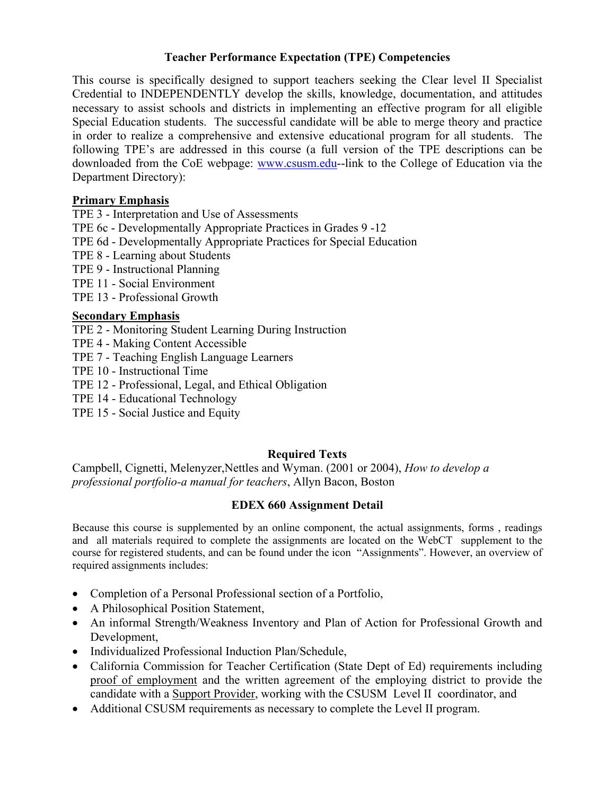# **Teacher Performance Expectation (TPE) Competencies**

This course is specifically designed to support teachers seeking the Clear level II Specialist Credential to INDEPENDENTLY develop the skills, knowledge, documentation, and attitudes necessary to assist schools and districts in implementing an effective program for all eligible Special Education students. The successful candidate will be able to merge theory and practice in order to realize a comprehensive and extensive educational program for all students. The following TPE's are addressed in this course (a full version of the TPE descriptions can be downloaded from the CoE webpage: www.csusm.edu--link to the College of Education via the Department Directory):

# **Primary Emphasis**

TPE 3 - Interpretation and Use of Assessments

TPE 6c - Developmentally Appropriate Practices in Grades 9 -12

TPE 6d - Developmentally Appropriate Practices for Special Education

TPE 8 - Learning about Students

TPE 9 - Instructional Planning

TPE 11 - Social Environment

TPE 13 - Professional Growth

# **Secondary Emphasis**

TPE 2 - Monitoring Student Learning During Instruction

TPE 4 - Making Content Accessible

TPE 7 - Teaching English Language Learners

TPE 10 - Instructional Time

TPE 12 - Professional, Legal, and Ethical Obligation

TPE 14 - Educational Technology

TPE 15 - Social Justice and Equity

# **Required Texts**

Campbell, Cignetti, Melenyzer,Nettles and Wyman. (2001 or 2004), *How to develop a professional portfolio-a manual for teachers*, Allyn Bacon, Boston

# **EDEX 660 Assignment Detail**

Because this course is supplemented by an online component, the actual assignments, forms , readings and all materials required to complete the assignments are located on the WebCT supplement to the course for registered students, and can be found under the icon "Assignments". However, an overview of required assignments includes:

- Completion of a Personal Professional section of a Portfolio,
- A Philosophical Position Statement,
- An informal Strength/Weakness Inventory and Plan of Action for Professional Growth and Development,
- Individualized Professional Induction Plan/Schedule,
- California Commission for Teacher Certification (State Dept of Ed) requirements including proof of employment and the written agreement of the employing district to provide the candidate with a Support Provider, working with the CSUSM Level II coordinator, and
- Additional CSUSM requirements as necessary to complete the Level II program.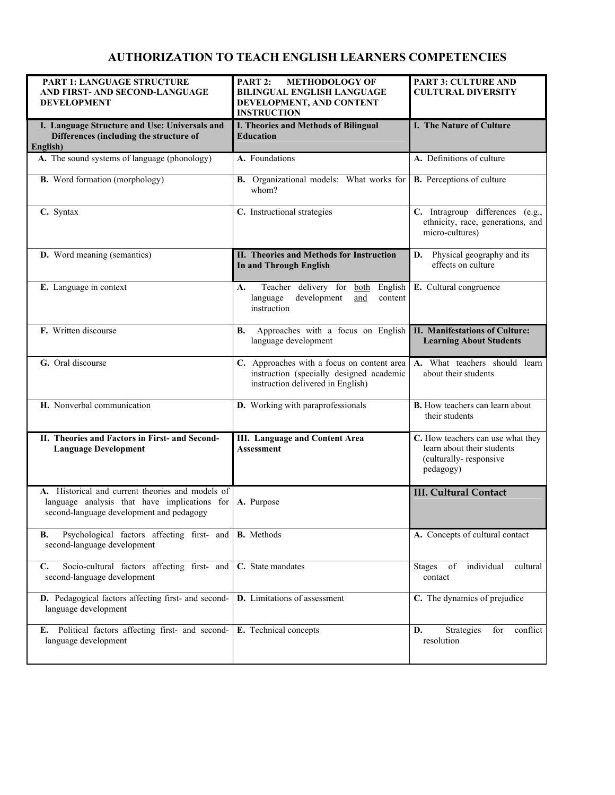# **AUTHORIZATION TO TEACH ENGLISH LEARNERS COMPETENCIES**

| PART 1: LANGUAGE STRUCTURE<br>AND FIRST- AND SECOND-LANGUAGE<br><b>DEVELOPMENT</b>                                                           | PART 2:<br><b>METHODOLOGY OF</b><br><b>BILINGUAL ENGLISH LANGUAGE</b><br>DEVELOPMENT, AND CONTENT<br><b>INSTRUCTION</b>     | PART 3: CULTURE AND<br><b>CULTURAL DIVERSITY</b>                                                       |
|----------------------------------------------------------------------------------------------------------------------------------------------|-----------------------------------------------------------------------------------------------------------------------------|--------------------------------------------------------------------------------------------------------|
| I. Language Structure and Use: Universals and<br>Differences (including the structure of<br>English)                                         | I. Theories and Methods of Bilingual<br><b>Education</b>                                                                    | I. The Nature of Culture                                                                               |
| A. The sound systems of language (phonology)                                                                                                 | A. Foundations                                                                                                              | A. Definitions of culture                                                                              |
| <b>B.</b> Word formation (morphology)                                                                                                        | <b>B.</b> Organizational models: What works for<br>whom?                                                                    | <b>B.</b> Perceptions of culture                                                                       |
| C. Syntax                                                                                                                                    | C. Instructional strategies                                                                                                 | C. Intragroup differences (e.g.,<br>ethnicity, race, generations, and<br>micro-cultures)               |
| <b>D.</b> Word meaning (semantics)                                                                                                           | <b>II. Theories and Methods for Instruction</b><br><b>In and Through English</b>                                            | D. Physical geography and its<br>effects on culture                                                    |
| E. Language in context                                                                                                                       | Teacher delivery for both<br>English<br>А.<br>development<br>language<br>and<br>content<br>instruction                      | E. Cultural congruence                                                                                 |
| F. Written discourse                                                                                                                         | Approaches with a focus on English<br>В.<br>language development                                                            | II. Manifestations of Culture:<br><b>Learning About Students</b>                                       |
| G. Oral discourse                                                                                                                            | C. Approaches with a focus on content area<br>instruction (specially designed academic<br>instruction delivered in English) | A. What teachers should learn<br>about their students                                                  |
| H. Nonverbal communication                                                                                                                   | D. Working with paraprofessionals                                                                                           | <b>B.</b> How teachers can learn about<br>their students                                               |
| II. Theories and Factors in First- and Second-<br><b>Language Development</b>                                                                | <b>III.</b> Language and Content Area<br><b>Assessment</b>                                                                  | C. How teachers can use what they<br>learn about their students<br>(culturally-responsive<br>pedagogy) |
| A. Historical and current theories and models of<br>language analysis that have implications for<br>second-language development and pedagogy | A. Purpose                                                                                                                  | <b>III. Cultural Contact</b>                                                                           |
| Psychological factors affecting first- and<br>В.<br>second-language development                                                              | <b>B.</b> Methods                                                                                                           | A. Concepts of cultural contact                                                                        |
| Socio-cultural factors affecting first- and<br>$\mathbf{C}$ .<br>second-language development                                                 | C. State mandates                                                                                                           | individual<br><b>Stages</b><br>of<br>cultural<br>contact                                               |
| D. Pedagogical factors affecting first- and second-<br>language development                                                                  | D. Limitations of assessment                                                                                                | C. The dynamics of prejudice                                                                           |
| Political factors affecting first- and second-<br>Е.<br>language development                                                                 | E. Technical concepts                                                                                                       | Strategies<br>conflict<br>D.<br>for<br>resolution                                                      |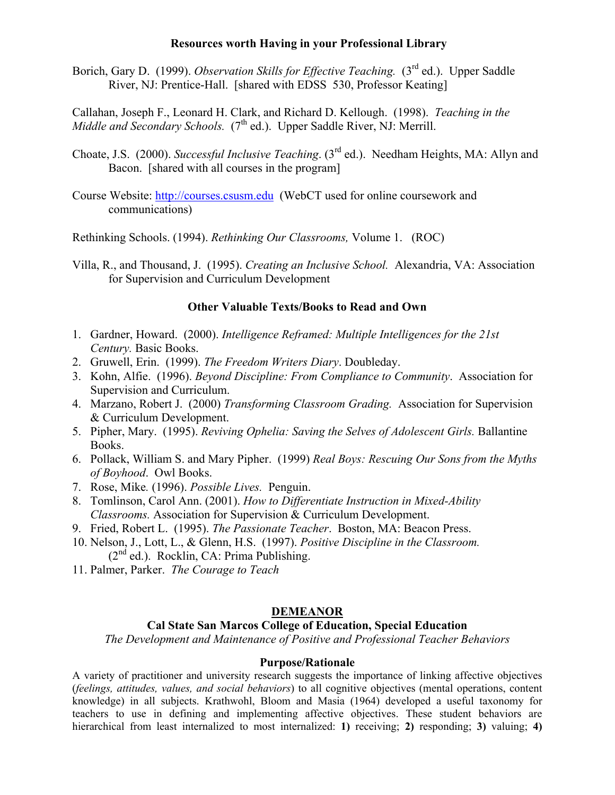## **Resources worth Having in your Professional Library**

Borich, Gary D. (1999). *Observation Skills for Effective Teaching.* (3<sup>rd</sup> ed.). Upper Saddle River, NJ: Prentice-Hall. [shared with EDSS 530, Professor Keating]

Callahan, Joseph F., Leonard H. Clark, and Richard D. Kellough. (1998). *Teaching in the Middle and Secondary Schools.* (7<sup>th</sup> ed.). Upper Saddle River, NJ: Merrill.

- Choate, J.S. (2000). *Successful Inclusive Teaching*. (3rd ed.). Needham Heights, MA: Allyn and Bacon. [shared with all courses in the program]
- Course Website: http://courses.csusm.edu (WebCT used for online coursework and communications)

Rethinking Schools. (1994). *Rethinking Our Classrooms,* Volume 1. (ROC)

Villa, R., and Thousand, J. (1995). *Creating an Inclusive School.* Alexandria, VA: Association for Supervision and Curriculum Development

## **Other Valuable Texts/Books to Read and Own**

- 1. Gardner, Howard. (2000). *Intelligence Reframed: Multiple Intelligences for the 21st Century.* Basic Books.
- 2. Gruwell, Erin. (1999). *The Freedom Writers Diary*. Doubleday.
- 3. Kohn, Alfie. (1996). *Beyond Discipline: From Compliance to Community*. Association for Supervision and Curriculum.
- 4. Marzano, Robert J. (2000) *Transforming Classroom Grading.* Association for Supervision & Curriculum Development.
- 5. Pipher, Mary. (1995). *Reviving Ophelia: Saving the Selves of Adolescent Girls.* Ballantine Books.
- 6. Pollack, William S. and Mary Pipher. (1999) *Real Boys: Rescuing Our Sons from the Myths of Boyhood*. Owl Books.
- 7. Rose, Mike*.* (1996). *Possible Lives.* Penguin.
- 8. Tomlinson, Carol Ann. (2001). *How to Differentiate Instruction in Mixed-Ability Classrooms.* Association for Supervision & Curriculum Development.
- 9. Fried, Robert L. (1995). *The Passionate Teacher*. Boston, MA: Beacon Press.
- 10. Nelson, J., Lott, L., & Glenn, H.S. (1997). *Positive Discipline in the Classroom.*  $(2^{nd}$  ed.). Rocklin, CA: Prima Publishing.
- 11. Palmer, Parker. *The Courage to Teach*

# **DEMEANOR**

## **Cal State San Marcos College of Education, Special Education**

*The Development and Maintenance of Positive and Professional Teacher Behaviors* 

### **Purpose/Rationale**

A variety of practitioner and university research suggests the importance of linking affective objectives (*feelings, attitudes, values, and social behaviors*) to all cognitive objectives (mental operations, content knowledge) in all subjects. Krathwohl, Bloom and Masia (1964) developed a useful taxonomy for teachers to use in defining and implementing affective objectives. These student behaviors are hierarchical from least internalized to most internalized: **1)** receiving; **2)** responding; **3)** valuing; **4)**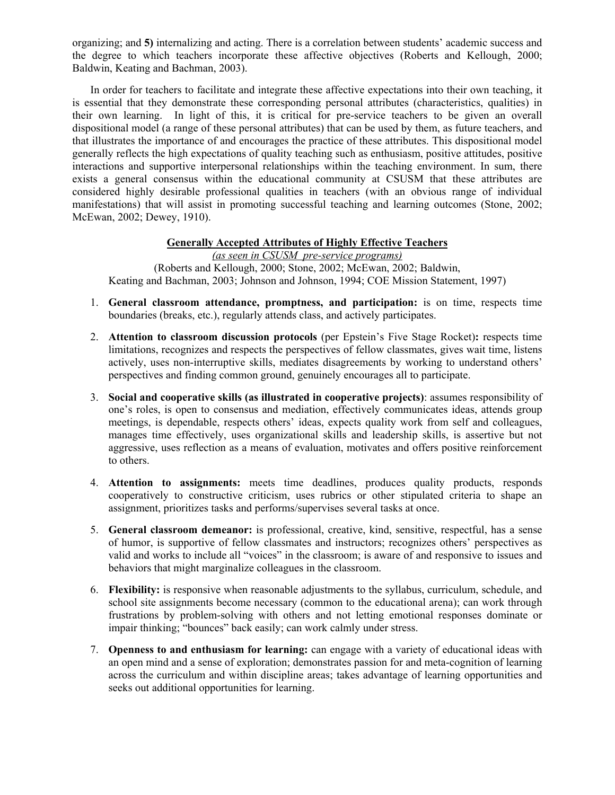organizing; and **5)** internalizing and acting. There is a correlation between students' academic success and the degree to which teachers incorporate these affective objectives (Roberts and Kellough, 2000; Baldwin, Keating and Bachman, 2003).

In order for teachers to facilitate and integrate these affective expectations into their own teaching, it is essential that they demonstrate these corresponding personal attributes (characteristics, qualities) in their own learning. In light of this, it is critical for pre-service teachers to be given an overall dispositional model (a range of these personal attributes) that can be used by them, as future teachers, and that illustrates the importance of and encourages the practice of these attributes. This dispositional model generally reflects the high expectations of quality teaching such as enthusiasm, positive attitudes, positive interactions and supportive interpersonal relationships within the teaching environment. In sum, there exists a general consensus within the educational community at CSUSM that these attributes are considered highly desirable professional qualities in teachers (with an obvious range of individual manifestations) that will assist in promoting successful teaching and learning outcomes (Stone, 2002; McEwan, 2002; Dewey, 1910).

## **Generally Accepted Attributes of Highly Effective Teachers**

*(as seen in CSUSM pre-service programs)*  (Roberts and Kellough, 2000; Stone, 2002; McEwan, 2002; Baldwin, Keating and Bachman, 2003; Johnson and Johnson, 1994; COE Mission Statement, 1997)

- 1. **General classroom attendance, promptness, and participation:** is on time, respects time boundaries (breaks, etc.), regularly attends class, and actively participates.
- 2. **Attention to classroom discussion protocols** (per Epstein's Five Stage Rocket)**:** respects time limitations, recognizes and respects the perspectives of fellow classmates, gives wait time, listens actively, uses non-interruptive skills, mediates disagreements by working to understand others' perspectives and finding common ground, genuinely encourages all to participate.
- 3. **Social and cooperative skills (as illustrated in cooperative projects)**: assumes responsibility of one's roles, is open to consensus and mediation, effectively communicates ideas, attends group meetings, is dependable, respects others' ideas, expects quality work from self and colleagues, manages time effectively, uses organizational skills and leadership skills, is assertive but not aggressive, uses reflection as a means of evaluation, motivates and offers positive reinforcement to others.
- 4. **Attention to assignments:** meets time deadlines, produces quality products, responds cooperatively to constructive criticism, uses rubrics or other stipulated criteria to shape an assignment, prioritizes tasks and performs/supervises several tasks at once.
- 5. **General classroom demeanor:** is professional, creative, kind, sensitive, respectful, has a sense of humor, is supportive of fellow classmates and instructors; recognizes others' perspectives as valid and works to include all "voices" in the classroom; is aware of and responsive to issues and behaviors that might marginalize colleagues in the classroom.
- 6. **Flexibility:** is responsive when reasonable adjustments to the syllabus, curriculum, schedule, and school site assignments become necessary (common to the educational arena); can work through frustrations by problem-solving with others and not letting emotional responses dominate or impair thinking; "bounces" back easily; can work calmly under stress.
- 7. **Openness to and enthusiasm for learning:** can engage with a variety of educational ideas with an open mind and a sense of exploration; demonstrates passion for and meta-cognition of learning across the curriculum and within discipline areas; takes advantage of learning opportunities and seeks out additional opportunities for learning.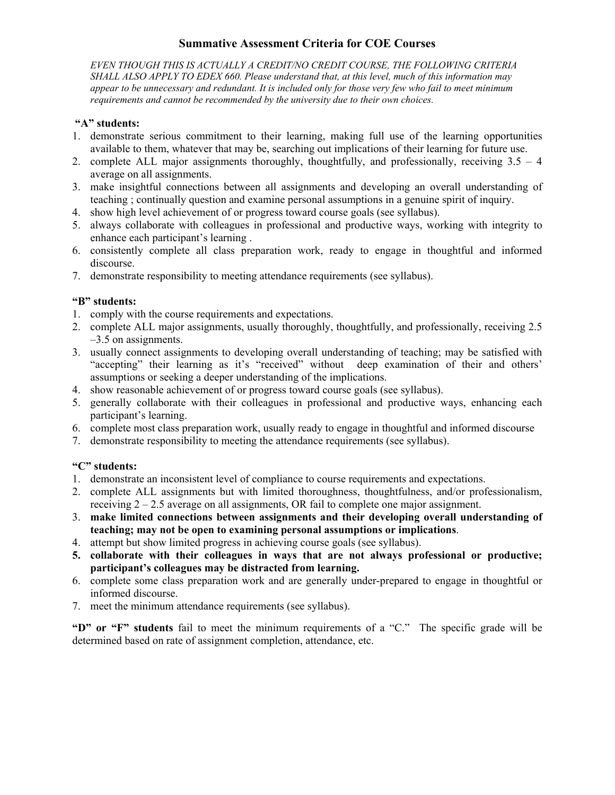# **Summative Assessment Criteria for COE Courses**

*EVEN THOUGH THIS IS ACTUALLY A CREDIT/NO CREDIT COURSE, THE FOLLOWING CRITERIA SHALL ALSO APPLY TO EDEX 660. Please understand that, at this level, much of this information may appear to be unnecessary and redundant. It is included only for those very few who fail to meet minimum requirements and cannot be recommended by the university due to their own choices.* 

# **"A" students:**

- 1. demonstrate serious commitment to their learning, making full use of the learning opportunities available to them, whatever that may be, searching out implications of their learning for future use.
- 2. complete ALL major assignments thoroughly, thoughtfully, and professionally, receiving 3.5 4 average on all assignments.
- 3. make insightful connections between all assignments and developing an overall understanding of teaching ; continually question and examine personal assumptions in a genuine spirit of inquiry.
- 4. show high level achievement of or progress toward course goals (see syllabus).
- 5. always collaborate with colleagues in professional and productive ways, working with integrity to enhance each participant's learning .
- 6. consistently complete all class preparation work, ready to engage in thoughtful and informed discourse.
- 7. demonstrate responsibility to meeting attendance requirements (see syllabus).

## **"B" students:**

- 1. comply with the course requirements and expectations.
- 2. complete ALL major assignments, usually thoroughly, thoughtfully, and professionally, receiving 2.5 –3.5 on assignments.
- 3. usually connect assignments to developing overall understanding of teaching; may be satisfied with "accepting" their learning as it's "received" without deep examination of their and others' assumptions or seeking a deeper understanding of the implications.
- 4. show reasonable achievement of or progress toward course goals (see syllabus).
- 5. generally collaborate with their colleagues in professional and productive ways, enhancing each participant's learning.
- 6. complete most class preparation work, usually ready to engage in thoughtful and informed discourse
- 7. demonstrate responsibility to meeting the attendance requirements (see syllabus).

# **"C" students:**

- 1. demonstrate an inconsistent level of compliance to course requirements and expectations.
- 2. complete ALL assignments but with limited thoroughness, thoughtfulness, and/or professionalism, receiving  $2 - 2.5$  average on all assignments, OR fail to complete one major assignment.
- 3. **make limited connections between assignments and their developing overall understanding of teaching; may not be open to examining personal assumptions or implications**.
- 4. attempt but show limited progress in achieving course goals (see syllabus).
- **5. collaborate with their colleagues in ways that are not always professional or productive; participant's colleagues may be distracted from learning.**
- 6. complete some class preparation work and are generally under-prepared to engage in thoughtful or informed discourse.
- 7. meet the minimum attendance requirements (see syllabus).

**"D" or "F" students** fail to meet the minimum requirements of a "C." The specific grade will be determined based on rate of assignment completion, attendance, etc.